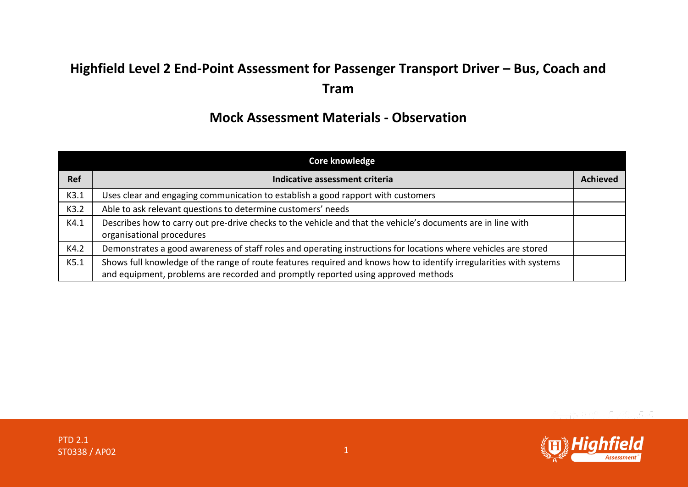## **Highfield Level 2 End-Point Assessment for Passenger Transport Driver – Bus, Coach and Tram**

## **Mock Assessment Materials - Observation**

| <b>Core knowledge</b> |                                                                                                                                                                                                         |                 |
|-----------------------|---------------------------------------------------------------------------------------------------------------------------------------------------------------------------------------------------------|-----------------|
| <b>Ref</b>            | Indicative assessment criteria                                                                                                                                                                          | <b>Achieved</b> |
| K3.1                  | Uses clear and engaging communication to establish a good rapport with customers                                                                                                                        |                 |
| K3.2                  | Able to ask relevant questions to determine customers' needs                                                                                                                                            |                 |
| K4.1                  | Describes how to carry out pre-drive checks to the vehicle and that the vehicle's documents are in line with<br>organisational procedures                                                               |                 |
| K4.2                  | Demonstrates a good awareness of staff roles and operating instructions for locations where vehicles are stored                                                                                         |                 |
| K5.1                  | Shows full knowledge of the range of route features required and knows how to identify irregularities with systems<br>and equipment, problems are recorded and promptly reported using approved methods |                 |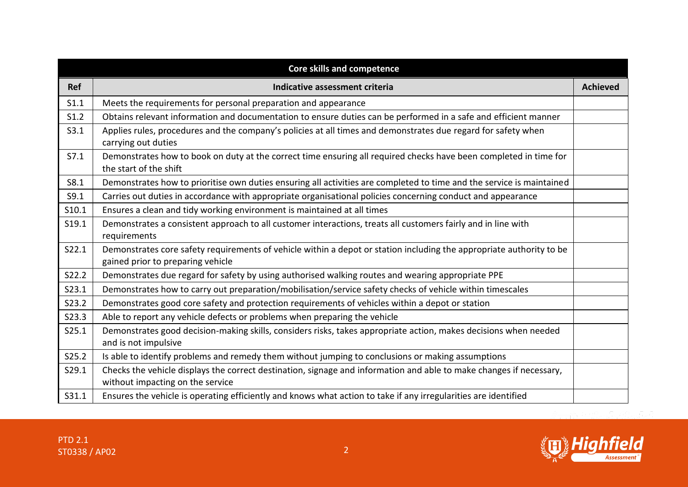|            | <b>Core skills and competence</b>                                                                                                                         |                 |
|------------|-----------------------------------------------------------------------------------------------------------------------------------------------------------|-----------------|
| <b>Ref</b> | Indicative assessment criteria                                                                                                                            | <b>Achieved</b> |
| S1.1       | Meets the requirements for personal preparation and appearance                                                                                            |                 |
| S1.2       | Obtains relevant information and documentation to ensure duties can be performed in a safe and efficient manner                                           |                 |
| S3.1       | Applies rules, procedures and the company's policies at all times and demonstrates due regard for safety when<br>carrying out duties                      |                 |
| S7.1       | Demonstrates how to book on duty at the correct time ensuring all required checks have been completed in time for<br>the start of the shift               |                 |
| S8.1       | Demonstrates how to prioritise own duties ensuring all activities are completed to time and the service is maintained                                     |                 |
| S9.1       | Carries out duties in accordance with appropriate organisational policies concerning conduct and appearance                                               |                 |
| S10.1      | Ensures a clean and tidy working environment is maintained at all times                                                                                   |                 |
| S19.1      | Demonstrates a consistent approach to all customer interactions, treats all customers fairly and in line with<br>requirements                             |                 |
| S22.1      | Demonstrates core safety requirements of vehicle within a depot or station including the appropriate authority to be<br>gained prior to preparing vehicle |                 |
| S22.2      | Demonstrates due regard for safety by using authorised walking routes and wearing appropriate PPE                                                         |                 |
| S23.1      | Demonstrates how to carry out preparation/mobilisation/service safety checks of vehicle within timescales                                                 |                 |
| S23.2      | Demonstrates good core safety and protection requirements of vehicles within a depot or station                                                           |                 |
| S23.3      | Able to report any vehicle defects or problems when preparing the vehicle                                                                                 |                 |
| S25.1      | Demonstrates good decision-making skills, considers risks, takes appropriate action, makes decisions when needed<br>and is not impulsive                  |                 |
| S25.2      | Is able to identify problems and remedy them without jumping to conclusions or making assumptions                                                         |                 |
| S29.1      | Checks the vehicle displays the correct destination, signage and information and able to make changes if necessary,<br>without impacting on the service   |                 |
| S31.1      | Ensures the vehicle is operating efficiently and knows what action to take if any irregularities are identified                                           |                 |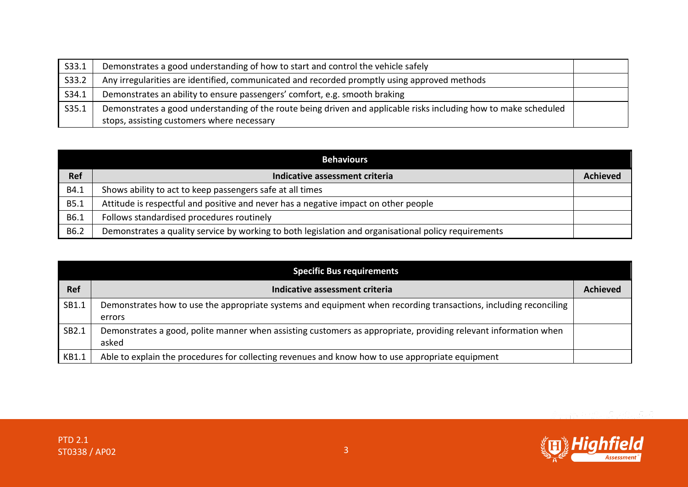| S33.1 | Demonstrates a good understanding of how to start and control the vehicle safely                                 |  |
|-------|------------------------------------------------------------------------------------------------------------------|--|
| S33.2 | Any irregularities are identified, communicated and recorded promptly using approved methods                     |  |
| S34.1 | Demonstrates an ability to ensure passengers' comfort, e.g. smooth braking                                       |  |
| S35.1 | Demonstrates a good understanding of the route being driven and applicable risks including how to make scheduled |  |
|       | stops, assisting customers where necessary                                                                       |  |

| <b>Behaviours</b> |                                                                                                      |                 |
|-------------------|------------------------------------------------------------------------------------------------------|-----------------|
| <b>Ref</b>        | Indicative assessment criteria                                                                       | <b>Achieved</b> |
| B4.1              | Shows ability to act to keep passengers safe at all times                                            |                 |
| B5.1              | Attitude is respectful and positive and never has a negative impact on other people                  |                 |
| B6.1              | Follows standardised procedures routinely                                                            |                 |
| B6.2              | Demonstrates a quality service by working to both legislation and organisational policy requirements |                 |

| <b>Specific Bus requirements</b> |                                                                                                                            |                 |
|----------------------------------|----------------------------------------------------------------------------------------------------------------------------|-----------------|
| Ref                              | Indicative assessment criteria                                                                                             | <b>Achieved</b> |
| SB1.1                            | Demonstrates how to use the appropriate systems and equipment when recording transactions, including reconciling<br>errors |                 |
| SB2.1                            | Demonstrates a good, polite manner when assisting customers as appropriate, providing relevant information when<br>asked   |                 |
| KB1.1                            | Able to explain the procedures for collecting revenues and know how to use appropriate equipment                           |                 |